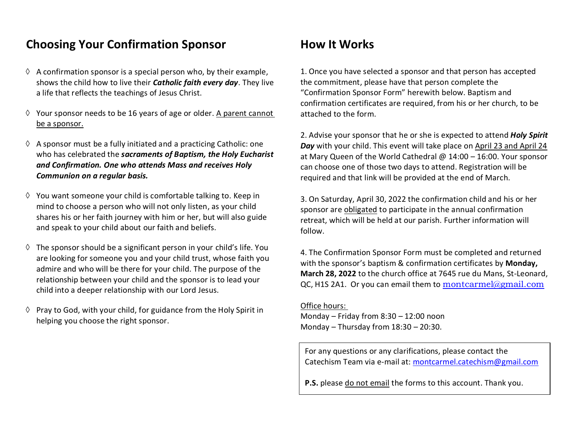# **Choosing Your Confirmation Sponsor**

- $\Diamond$  A confirmation sponsor is a special person who, by their example, shows the child how to live their *Catholic faith every day*. They live a life that reflects the teachings of Jesus Christ.
- $\Diamond$  Your sponsor needs to be 16 years of age or older. A parent cannot be a sponsor.
- $\Diamond$  A sponsor must be a fully initiated and a practicing Catholic: one who has celebrated the *sacraments of Baptism, the Holy Eucharist and Confirmation. One who attends Mass and receives Holy Communion on a regular basis.*
- $\Diamond$  You want someone your child is comfortable talking to. Keep in mind to choose a person who will not only listen, as your child shares his or her faith journey with him or her, but will also guide and speak to your child about our faith and beliefs.
- $\Diamond$  The sponsor should be a significant person in your child's life. You are looking for someone you and your child trust, whose faith you admire and who will be there for your child. The purpose of the relationship between your child and the sponsor is to lead your child into a deeper relationship with our Lord Jesus.
- $\Diamond$  Pray to God, with your child, for guidance from the Holy Spirit in helping you choose the right sponsor.

## **How It Works**

1. Once you have selected a sponsor and that person has accepted the commitment, please have that person complete the "Confirmation Sponsor Form" herewith below. Baptism and confirmation certificates are required, from his or her church, to be attached to the form.

2. Advise your sponsor that he or she is expected to attend *Holy Spirit Day* with your child. This event will take place on April 23 and April 24 at Mary Queen of the World Cathedral @ 14:00 – 16:00. Your sponsor can choose one of those two days to attend. Registration will be required and that link will be provided at the end of March.

3. On Saturday, April 30, 2022 the confirmation child and his or her sponsor are obligated to participate in the annual confirmation retreat, which will be held at our parish. Further information will follow.

4. The Confirmation Sponsor Form must be completed and returned with the sponsor's baptism & confirmation certificates by **Monday, March 28, 2022** to the church office at 7645 rue du Mans, St-Leonard, QC, H1S 2A1. Or you can email them to [montcarmel@gmail.com](mailto:montcarmel@gmail.com)

#### Office hours:

Monday – Friday from 8:30 – 12:00 noon Monday – Thursday from 18:30 – 20:30.

For any questions or any clarifications, please contact the Catechism Team via e-mail at: [montcarmel.catechism@gmail.com](mailto:montcarmel.catechism@gmail.com)

**P.S.** please do not email the forms to this account. Thank you.